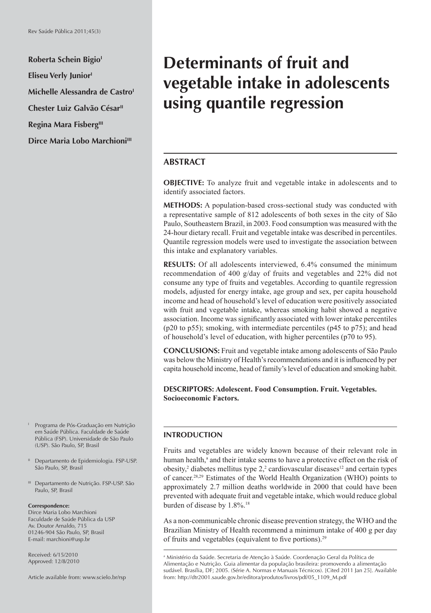**Roberta Schein Bigio<sup>1</sup> Eliseu Verly Junior'** Michelle Alessandra de Castro<sup>1</sup> **Chester Luiz Galvão César<sup>II</sup> Regina Mara Fisberg**<sup>III</sup> **Dirce Maria Lobo Marchioni**<sup>III</sup>

- I Programa de Pós-Graduação em Nutrição em Saúde Pública. Faculdade de Saúde Pública (FSP). Universidade de São Paulo (USP). São Paulo, SP, Brasil
- <sup>II</sup> Departamento de Epidemiologia. FSP-USP. São Paulo, SP, Brasil
- III Departamento de Nutrição. FSP-USP. São Paulo, SP, Brasil

#### **Correspondence:**

Dirce Maria Lobo Marchioni Faculdade de Saúde Pública da USP Av. Doutor Arnaldo, 715 01246-904 São Paulo, SP, Brasil E-mail: marchioni@usp.br

Received: 6/15/2010 Approved: 12/8/2010

Article available from: www.scielo.br/rsp

# **Determinants of fruit and vegetable intake in adolescents using quantile regression**

# **ABSTRACT**

**OBJECTIVE:** To analyze fruit and vegetable intake in adolescents and to identify associated factors.

**METHODS:** A population-based cross-sectional study was conducted with a representative sample of 812 adolescents of both sexes in the city of São Paulo, Southeastern Brazil, in 2003. Food consumption was measured with the 24-hour dietary recall. Fruit and vegetable intake was described in percentiles. Quantile regression models were used to investigate the association between this intake and explanatory variables.

**RESULTS:** Of all adolescents interviewed, 6.4% consumed the minimum recommendation of 400 g/day of fruits and vegetables and 22% did not consume any type of fruits and vegetables. According to quantile regression models, adjusted for energy intake, age group and sex, per capita household income and head of household's level of education were positively associated with fruit and vegetable intake, whereas smoking habit showed a negative association. Income was significantly associated with lower intake percentiles (p20 to p55); smoking, with intermediate percentiles (p45 to p75); and head of household's level of education, with higher percentiles (p70 to 95).

**CONCLUSIONS:** Fruit and vegetable intake among adolescents of São Paulo was below the Ministry of Health's recommendations and it is influenced by per capita household income, head of family's level of education and smoking habit.

**DESCRIPTORS: Adolescent. Food Consumption. Fruit. Vegetables. Socioeconomic Factors.**

### **INTRODUCTION**

Fruits and vegetables are widely known because of their relevant role in human health,<sup>a</sup> and their intake seems to have a protective effect on the risk of  $obsity$ ,<sup>2</sup> diabetes mellitus type 2,<sup>2</sup> cardiovascular diseases<sup>12</sup> and certain types of cancer.28,29 Estimates of the World Health Organization (WHO) points to approximately 2.7 million deaths worldwide in 2000 that could have been prevented with adequate fruit and vegetable intake, which would reduce global burden of disease by 1.8%.18

As a non-communicable chronic disease prevention strategy, the WHO and the Brazilian Ministry of Health recommend a minimum intake of 400 g per day of fruits and vegetables (equivalent to five portions).<sup>29</sup>

a Ministério da Saúde. Secretaria de Atenção à Saúde. Coordenação Geral da Política de Alimentação e Nutrição. Guia alimentar da população brasileira: promovendo a alimentação sudável. Brasília, DF; 2005. (Série A. Normas e Manuais Técnicos). [Cited 2011 Jan 25]. Available from: http://dtr2001.saude.gov.br/editora/produtos/livros/pdf/05\_1109\_M.pdf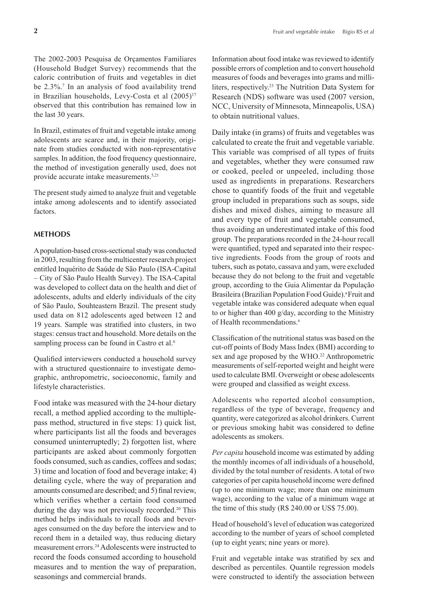The 2002-2003 Pesquisa de Orçamentos Familiares (Household Budget Survey) recommends that the caloric contribution of fruits and vegetables in diet be 2.3%.7 In an analysis of food availability trend in Brazilian households, Levy-Costa et al  $(2005)^{17}$ observed that this contribution has remained low in the last 30 years.

In Brazil, estimates of fruit and vegetable intake among adolescents are scarce and, in their majority, originate from studies conducted with non-representative samples. In addition, the food frequency questionnaire, the method of investigation generally used, does not provide accurate intake measurements.5,21

The present study aimed to analyze fruit and vegetable intake among adolescents and to identify associated factors.

### **METHODS**

A population-based cross-sectional study was conducted in 2003, resulting from the multicenter research project entitled Inquérito de Saúde de São Paulo (ISA-Capital – City of São Paulo Health Survey). The ISA-Capital was developed to collect data on the health and diet of adolescents, adults and elderly individuals of the city of São Paulo, Souhteastern Brazil. The present study used data on 812 adolescents aged between 12 and 19 years. Sample was stratified into clusters, in two stages: census tract and household. More details on the sampling process can be found in Castro et al.<sup>6</sup>

Qualified interviewers conducted a household survey with a structured questionnaire to investigate demographic, anthropometric, socioeconomic, family and lifestyle characteristics.

Food intake was measured with the 24-hour dietary recall, a method applied according to the multiplepass method, structured in five steps: 1) quick list, where participants list all the foods and beverages consumed uninterruptedly; 2) forgotten list, where participants are asked about commonly forgotten foods consumed, such as candies, coffees and sodas; 3) time and location of food and beverage intake; 4) detailing cycle, where the way of preparation and amounts consumed are described; and 5) final review, which verifies whether a certain food consumed during the day was not previously recorded. 20 This method helps individuals to recall foods and beverages consumed on the day before the interview and to record them in a detailed way, thus reducing dietary measurement errors.24 Adolescents were instructed to record the foods consumed according to household measures and to mention the way of preparation, seasonings and commercial brands.

Information about food intake was reviewed to identify possible errors of completion and to convert household measures of foods and beverages into grams and milliliters, respectively.23 The Nutrition Data System for Research (NDS) software was used (2007 version, NCC, University of Minnesota, Minneapolis, USA) to obtain nutritional values.

Daily intake (in grams) of fruits and vegetables was calculated to create the fruit and vegetable variable. This variable was comprised of all types of fruits and vegetables, whether they were consumed raw or cooked, peeled or unpeeled, including those used as ingredients in preparations. Researchers chose to quantify foods of the fruit and vegetable group included in preparations such as soups, side dishes and mixed dishes, aiming to measure all and every type of fruit and vegetable consumed, thus avoiding an underestimated intake of this food group. The preparations recorded in the 24-hour recall were quantified, typed and separated into their respective ingredients. Foods from the group of roots and tubers, such as potato, cassava and yam, were excluded because they do not belong to the fruit and vegetable group, according to the Guia Alimentar da População Brasileira (Brazilian Population Food Guide).<sup>a</sup> Fruit and vegetable intake was considered adequate when equal to or higher than 400 g/day, according to the Ministry of Health recommendations.<sup>a</sup>

Classification of the nutritional status was based on the cut-off points of Body Mass Index (BMI) according to sex and age proposed by the WHO.<sup>22</sup> Anthropometric measurements of self-reported weight and height were used to calculate BMI. Overweight or obese adolescents were grouped and classified as weight excess.

Adolescents who reported alcohol consumption, regardless of the type of beverage, frequency and quantity, were categorized as alcohol drinkers. Current or previous smoking habit was considered to define adolescents as smokers.

*Per capita* household income was estimated by adding the monthly incomes of all individuals of a household, divided by the total number of residents. A total of two categories of per capita household income were defined (up to one minimum wage; more than one minimum wage), according to the value of a minimum wage at the time of this study (R\$ 240.00 or US\$ 75.00).

Head of household's level of education was categorized according to the number of years of school completed (up to eight years; nine years or more).

Fruit and vegetable intake was stratified by sex and described as percentiles. Quantile regression models were constructed to identify the association between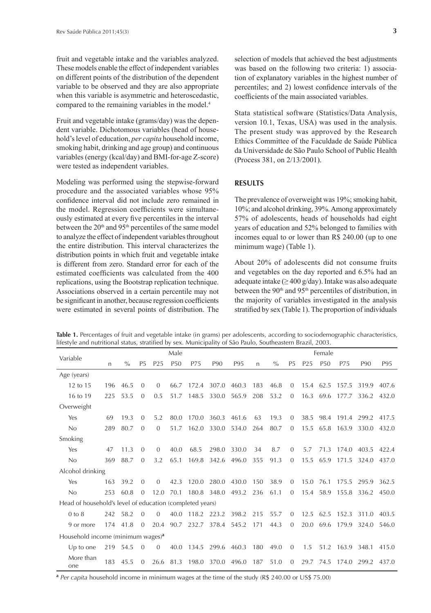fruit and vegetable intake and the variables analyzed. These models enable the effect of independent variables on different points of the distribution of the dependent variable to be observed and they are also appropriate when this variable is asymmetric and heteroscedastic, compared to the remaining variables in the model.<sup>4</sup>

Fruit and vegetable intake (grams/day) was the dependent variable. Dichotomous variables (head of household's level of education, *per capita* household income, smoking habit, drinking and age group) and continuous variables (energy (kcal/day) and BMI-for-age Z-score) were tested as independent variables.

Modeling was performed using the stepwise-forward procedure and the associated variables whose 95% confidence interval did not include zero remained in the model. Regression coefficients were simultaneously estimated at every five percentiles in the interval between the 20<sup>th</sup> and 95<sup>th</sup> percentiles of the same model to analyze the effect of independent variables throughout the entire distribution. This interval characterizes the distribution points in which fruit and vegetable intake is different from zero. Standard error for each of the estimated coefficients was calculated from the 400 replications, using the Bootstrap replication technique. Associations observed in a certain percentile may not be significant in another, because regression coefficients were estimated in several points of distribution. The

selection of models that achieved the best adjustments was based on the following two criteria: 1) association of explanatory variables in the highest number of percentiles; and 2) lowest confidence intervals of the coefficients of the main associated variables.

Stata statistical software (Statistics/Data Analysis, version 10.1, Texas, USA) was used in the analysis. The present study was approved by the Research Ethics Committee of the Faculdade de Saúde Pública da Universidade de São Paulo School of Public Health (Process 381, on 2/13/2001).

## **RESULTS**

The prevalence of overweight was 19%; smoking habit, 10%; and alcohol drinking, 39%. Among approximately 57% of adolescents, heads of households had eight years of education and 52% belonged to families with incomes equal to or lower than R\$ 240.00 (up to one minimum wage) (Table 1).

About 20% of adolescents did not consume fruits and vegetables on the day reported and 6.5% had an adequate intake ( $\geq$  400 g/day). Intake was also adequate between the 90<sup>th</sup> and 95<sup>th</sup> percentiles of distribution, in the majority of variables investigated in the analysis stratified by sex (Table 1). The proportion of individuals

Variable Male **Male** Female n % P5 P25 P50 P75 P90 P95 n % P5 P25 P50 P75 P90 P95 Age (years) 12 to 15 196 46.5 0 0 66.7 172.4 307.0 460.3 183 46.8 0 15.4 62.5 157.5 319.9 407.6 16 to 19 225 53.5 0 0.5 51.7 148.5 330.0 565.9 208 53.2 0 16.3 69.6 177.7 336.2 432.0 Overweight Yes 69 19.3 0 5.2 80.0 170.0 360.3 461.6 63 19.3 0 38.5 98.4 191.4 299.2 417.5 No 289 80.7 0 0 51.7 162.0 330.0 534.0 264 80.7 0 15.5 65.8 163.9 330.0 432.0 Smoking Yes 47 11.3 0 0 40.0 68.5 298.0 330.0 34 8.7 0 5.7 71.3 174.0 403.5 422.4 No 369 88.7 0 3.2 65.1 169.8 342.6 496.0 355 91.3 0 15.5 65.9 171.5 324.0 437.0 Alcohol drinking Yes 163 39.2 0 0 42.3 120.0 280.0 430.0 150 38.9 0 15.0 76.1 175.5 295.9 362.5 No 253 60.8 0 12.0 70.1 180.8 348.0 493.2 236 61.1 0 15.4 58.9 155.8 336.2 450.0 Head of household's level of education (completed years) 0 to 8 242 58.2 0 0 40.0 118.2 223.2 398.2 215 55.7 0 12.5 62.5 152.3 311.0 403.5 9 or more 174 41.8 0 20.4 90.7 232.7 378.4 545.2 171 44.3 0 20.0 69.6 179.9 324.0 546.0 Household income (minimum wages)**<sup>a</sup>** Up to one 219 54.5 0 0 40.0 134.5 299.6 460.3 180 49.0 0 1.5 51.2 163.9 348.1 415.0 More than one 183 45.5 0 26.6 81.3 198.0 370.0 496.0 187 51.0 0 29.7 74.5 174.0 299.2 437.0

**Table 1.** Percentages of fruit and vegetable intake (in grams) per adolescents, according to sociodemographic characteristics, lifestyle and nutritional status, stratified by sex. Municipality of São Paulo, Southeastern Brazil, 2003.

**<sup>a</sup>** *Per capita* household income in minimum wages at the time of the study (R\$ 240.00 or US\$ 75.00)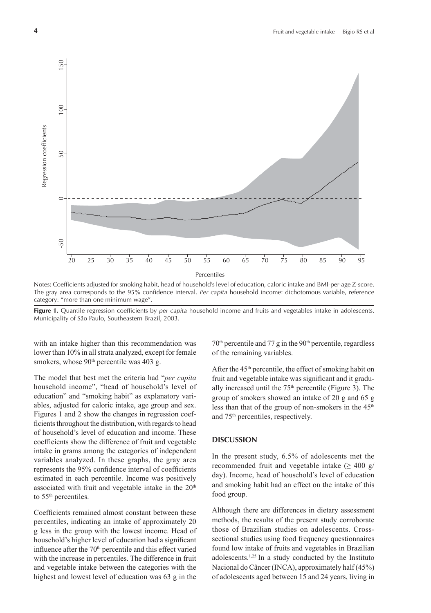

Notes: Coefficients adjusted for smoking habit, head of household's level of education, caloric intake and BMI-per-age Z-score. The gray area corresponds to the 95% confidence interval. *Per capita* household income: dichotomous variable, reference category: "more than one minimum wage".

**Figure 1.** Quantile regression coefficients by *per capita* household income and fruits and vegetables intake in adolescents. Municipality of São Paulo, Southeastern Brazil, 2003.

with an intake higher than this recommendation was lower than 10% in all strata analyzed, except for female smokers, whose 90<sup>th</sup> percentile was 403 g.

The model that best met the criteria had "*per capita* household income", "head of household's level of education" and "smoking habit" as explanatory variables, adjusted for caloric intake, age group and sex. Figures 1 and 2 show the changes in regression coefficients throughout the distribution, with regards to head of household's level of education and income. These coefficients show the difference of fruit and vegetable intake in grams among the categories of independent variables analyzed. In these graphs, the gray area represents the 95% confidence interval of coefficients estimated in each percentile. Income was positively associated with fruit and vegetable intake in the 20<sup>th</sup> to 55<sup>th</sup> percentiles.

Coefficients remained almost constant between these percentiles, indicating an intake of approximately 20 g less in the group with the lowest income. Head of household's higher level of education had a significant influence after the 70<sup>th</sup> percentile and this effect varied with the increase in percentiles. The difference in fruit and vegetable intake between the categories with the highest and lowest level of education was 63 g in the

 $70<sup>th</sup>$  percentile and  $77 g$  in the  $90<sup>th</sup>$  percentile, regardless of the remaining variables.

After the 45th percentile, the effect of smoking habit on fruit and vegetable intake was significant and it gradually increased until the  $75<sup>th</sup>$  percentile (Figure 3). The group of smokers showed an intake of 20 g and 65 g less than that of the group of non-smokers in the 45<sup>th</sup> and 75th percentiles, respectively.

#### **DISCUSSION**

In the present study, 6.5% of adolescents met the recommended fruit and vegetable intake  $(≥ 400 g/$ day). Income, head of household's level of education and smoking habit had an effect on the intake of this food group.

Although there are differences in dietary assessment methods, the results of the present study corroborate those of Brazilian studies on adolescents. Crosssectional studies using food frequency questionnaires found low intake of fruits and vegetables in Brazilian adolescents.1,25 In a study conducted by the Instituto Nacional do Câncer (INCA), approximately half (45%) of adolescents aged between 15 and 24 years, living in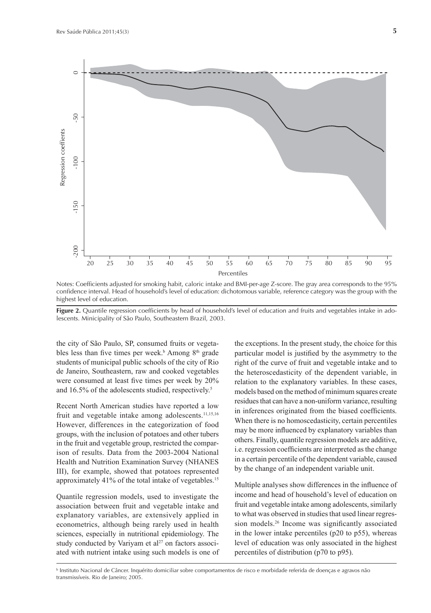

Notes: Coefficients adjusted for smoking habit, caloric intake and BMI-per-age Z-score. The gray area corresponds to the 95% confidence interval. Head of household's level of education: dichotomous variable, reference category was the group with the highest level of education.

**Figure 2.** Quantile regression coefficients by head of household's level of education and fruits and vegetables intake in adolescents. Minicipality of São Paulo, Southeastern Brazil, 2003.

the city of São Paulo, SP, consumed fruits or vegetables less than five times per week.<sup>b</sup> Among 8<sup>th</sup> grade students of municipal public schools of the city of Rio de Janeiro, Southeastern, raw and cooked vegetables were consumed at least five times per week by 20% and 16.5% of the adolescents studied, respectively.5

Recent North American studies have reported a low fruit and vegetable intake among adolescents.<sup>11,15,16</sup> However, differences in the categorization of food groups, with the inclusion of potatoes and other tubers in the fruit and vegetable group, restricted the comparison of results. Data from the 2003-2004 National Health and Nutrition Examination Survey (NHANES III), for example, showed that potatoes represented approximately 41% of the total intake of vegetables.<sup>15</sup>

Quantile regression models, used to investigate the association between fruit and vegetable intake and explanatory variables, are extensively applied in econometrics, although being rarely used in health sciences, especially in nutritional epidemiology. The study conducted by Variyam et  $al<sup>27</sup>$  on factors associated with nutrient intake using such models is one of the exceptions. In the present study, the choice for this particular model is justified by the asymmetry to the right of the curve of fruit and vegetable intake and to the heteroscedasticity of the dependent variable, in relation to the explanatory variables. In these cases, models based on the method of minimum squares create residues that can have a non-uniform variance, resulting in inferences originated from the biased coefficients. When there is no homoscedasticity, certain percentiles may be more influenced by explanatory variables than others. Finally, quantile regression models are additive, i.e. regression coefficients are interpreted as the change in a certain percentile of the dependent variable, caused by the change of an independent variable unit.

Multiple analyses show differences in the influence of income and head of household's level of education on fruit and vegetable intake among adolescents, similarly to what was observed in studies that used linear regression models.<sup>26</sup> Income was significantly associated in the lower intake percentiles (p20 to p55), whereas level of education was only associated in the highest percentiles of distribution (p70 to p95).

b Instituto Nacional de Câncer. Inquérito domiciliar sobre comportamentos de risco e morbidade referida de doenças e agravos não transmissíveis. Rio de Janeiro; 2005.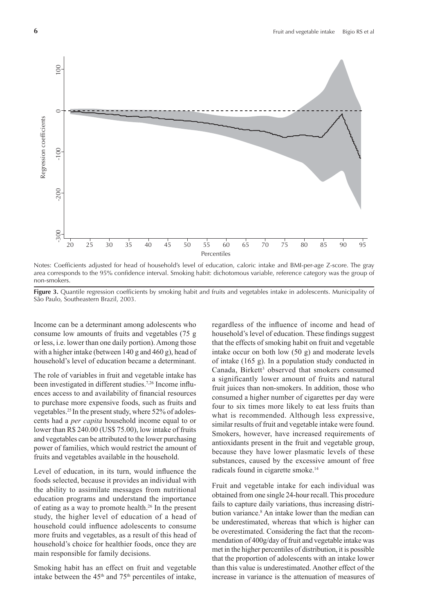

Notes: Coefficients adjusted for head of household's level of education, caloric intake and BMI-per-age Z-score. The gray area corresponds to the 95% confidence interval. Smoking habit: dichotomous variable, reference category was the group of non-smokers.

Figure 3. Quantile regression coefficients by smoking habit and fruits and vegetables intake in adolescents. Municipality of São Paulo, Southeastern Brazil, 2003.

Income can be a determinant among adolescents who consume low amounts of fruits and vegetables (75 g or less, i.e. lower than one daily portion). Among those with a higher intake (between 140 g and 460 g), head of household's level of education became a determinant.

The role of variables in fruit and vegetable intake has been investigated in different studies.<sup>7,26</sup> Income influences access to and availability of financial resources to purchase more expensive foods, such as fruits and vegetables.25 In the present study, where 52% of adolescents had a *per capita* household income equal to or lower than R\$ 240.00 (US\$ 75.00), low intake of fruits and vegetables can be attributed to the lower purchasing power of families, which would restrict the amount of fruits and vegetables available in the household.

Level of education, in its turn, would influence the foods selected, because it provides an individual with the ability to assimilate messages from nutritional education programs and understand the importance of eating as a way to promote health.26 In the present study, the higher level of education of a head of household could influence adolescents to consume more fruits and vegetables, as a result of this head of household's choice for healthier foods, once they are main responsible for family decisions.

Smoking habit has an effect on fruit and vegetable intake between the  $45<sup>th</sup>$  and  $75<sup>th</sup>$  percentiles of intake, regardless of the influence of income and head of household's level of education. These findings suggest that the effects of smoking habit on fruit and vegetable intake occur on both low (50 g) and moderate levels of intake (165 g). In a population study conducted in Canada, Birkett<sup>3</sup> observed that smokers consumed a significantly lower amount of fruits and natural fruit juices than non-smokers. In addition, those who consumed a higher number of cigarettes per day were four to six times more likely to eat less fruits than what is recommended. Although less expressive, similar results of fruit and vegetable intake were found. Smokers, however, have increased requirements of antioxidants present in the fruit and vegetable group, because they have lower plasmatic levels of these substances, caused by the excessive amount of free radicals found in cigarette smoke.14

Fruit and vegetable intake for each individual was obtained from one single 24-hour recall. This procedure fails to capture daily variations, thus increasing distribution variance.8 An intake lower than the median can be underestimated, whereas that which is higher can be overestimated. Considering the fact that the recommendation of 400g/day of fruit and vegetable intake was met in the higher percentiles of distribution, it is possible that the proportion of adolescents with an intake lower than this value is underestimated. Another effect of the increase in variance is the attenuation of measures of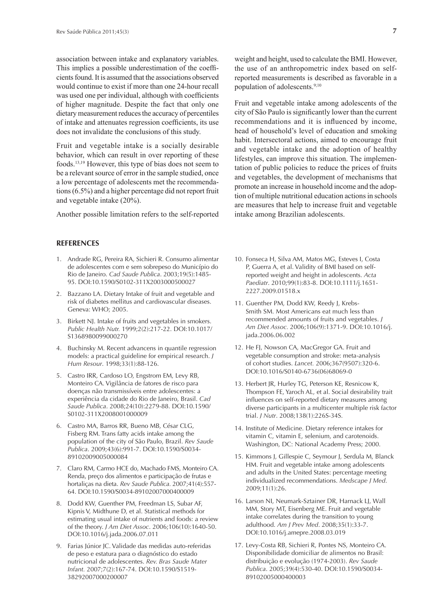association between intake and explanatory variables. This implies a possible underestimation of the coefficients found. It is assumed that the associations observed would continue to exist if more than one 24-hour recall was used one per individual, although with coefficients of higher magnitude. Despite the fact that only one dietary measurement reduces the accuracy of percentiles of intake and attenuates regression coefficients, its use does not invalidate the conclusions of this study.

Fruit and vegetable intake is a socially desirable behavior, which can result in over reporting of these foods.13,19 However, this type of bias does not seem to be a relevant source of error in the sample studied, once a low percentage of adolescents met the recommendations (6.5%) and a higher percentage did not report fruit and vegetable intake (20%).

Another possible limitation refers to the self-reported

# **REFERENCES**

- 1. Andrade RG, Pereira RA, Sichieri R. Consumo alimentar de adolescentes com e sem sobrepeso do Município do Rio de Janeiro. *Cad Saude Publica*. 2003;19(5):1485- 95. DOI:10.1590/S0102-311X2003000500027
- 2. Bazzano LA. Dietary Intake of fruit and vegetable and risk of diabetes mellitus and cardiovascular diseases. Geneva: WHO; 2005.
- 3. Birkett NJ. Intake of fruits and vegetables in smokers. *Public Health Nutr.* 1999;2(2):217-22. DOI:10.1017/ S1368980099000270
- 4. Buchinsky M. Recent advancens in quantile regression models: a practical guideline for empirical research. *J Hum Resour*. 1998;33(1):88-126.
- 5. Castro IRR, Cardoso LO, Engstrom EM, Levy RB, Monteiro CA. Vigilância de fatores de risco para doenças não transmissíveis entre adolescentes: a experiência da cidade do Rio de Janeiro, Brasil. *Cad Saude Publica*. 2008;24(10):2279-88. DOI:10.1590/ S0102-311X2008001000009
- 6. Castro MA, Barros RR, Bueno MB, César CLG, Fisberg RM. Trans fatty acids intake among the population of the city of São Paulo, Brazil. *Rev Saude Publica*. 2009;43(6):991-7. DOI:10.1590/S0034- 89102009005000084
- 7. Claro RM, Carmo HCE do, Machado FMS, Monteiro CA. Renda, preço dos alimentos e participação de frutas e hortaliças na dieta. *Rev Saude Publica.* 2007;41(4):557- 64. DOI:10.1590/S0034-89102007000400009
- 8. Dodd KW, Guenther PM, Freedman LS, Subar AF, Kipnis V, Midthune D, et al. Statistical methods for estimating usual intake of nutrients and foods: a review of the theory. *J Am Diet Assoc*. 2006;106(10):1640-50. DOI:10.1016/j.jada.2006.07.011
- 9. Farias Júnior JC. Validade das medidas auto-referidas de peso e estatura para o diagnóstico do estado nutricional de adolescentes. *Rev. Bras Saude Mater Infant.* 2007;7(2):167-74. DOI:10.1590/S1519- 38292007000200007

weight and height, used to calculate the BMI. However, the use of an anthropometric index based on selfreported measurements is described as favorable in a population of adolescents.<sup>9;10</sup>

Fruit and vegetable intake among adolescents of the city of São Paulo is significantly lower than the current recommendations and it is influenced by income, head of household's level of education and smoking habit. Intersectoral actions, aimed to encourage fruit and vegetable intake and the adoption of healthy lifestyles, can improve this situation. The implementation of public policies to reduce the prices of fruits and vegetables, the development of mechanisms that promote an increase in household income and the adoption of multiple nutritional education actions in schools are measures that help to increase fruit and vegetable intake among Brazilian adolescents.

- 10. Fonseca H, Silva AM, Matos MG, Esteves I, Costa P, Guerra A, et al. Validity of BMI based on selfreported weight and height in adolescents. *Acta Paediatr*. 2010;99(1):83-8. DOI:10.1111/j.1651- 2227.2009.01518.x
- 11. Guenther PM, Dodd KW, Reedy J, Krebs-Smith SM. Most Americans eat much less than recommended amounts of fruits and vegetables. *J Am Diet Assoc.* 2006;106(9):1371-9. DOI:10.1016/j. jada.2006.06.002
- 12. He FJ, Nowson CA, MacGregor GA. Fruit and vegetable consumption and stroke: meta-analysis of cohort studies. *Lancet.* 2006;367(9507):320-6. DOI:10.1016/S0140-6736(06)68069-0
- 13. Herbert JR, Hurley TG, Peterson KE, Resnicow K, Thompson FE, Yaroch AL, et al. Social desirability trait influences on self-reported dietary measures among diverse participants in a multicenter multiple risk factor trial. *J Nutr*. 2008;138(1):226S-34S.
- 14. Institute of Medicine. Dietary reference intakes for vitamin C, vitamin E, selenium, and carotenoids. Washington, DC: National Academy Press; 2000.
- 15. Kimmons J, Gillespie C, Seymour J, Serdula M, Blanck HM. Fruit and vegetable intake among adolescents and adults in the United States: percentage meeting individualized recommendations. *Medscape J Med*. 2009;11(1):26.
- 16. Larson NI, Neumark-Sztainer DR, Harnack LJ, Wall MM, Story MT, Eisenberg ME. Fruit and vegetable intake correlates during the transition to young adulthood. *Am J Prev Med*. 2008;35(1):33-7. DOI:10.1016/j.amepre.2008.03.019
- 17. Levy-Costa RB, Sichieri R, Pontes NS, Monteiro CA. Disponibilidade domiciliar de alimentos no Brasil: distribuição e evolução (1974-2003). *Rev Saude Publica*. 2005;39(4):530-40. DOI:10.1590/S0034- 89102005000400003